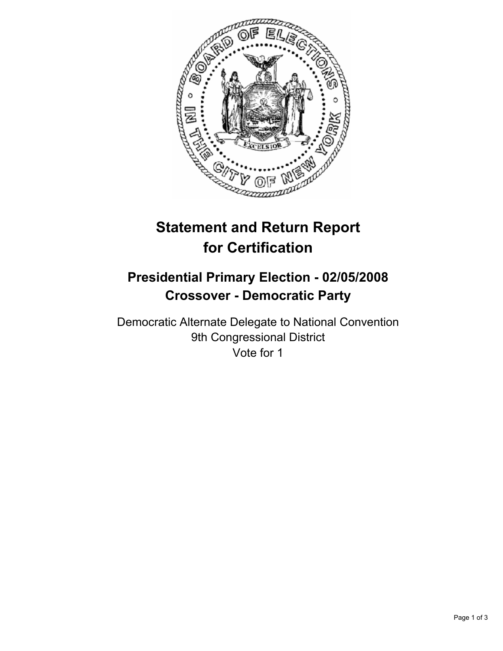

# **Statement and Return Report for Certification**

## **Presidential Primary Election - 02/05/2008 Crossover - Democratic Party**

Democratic Alternate Delegate to National Convention 9th Congressional District Vote for 1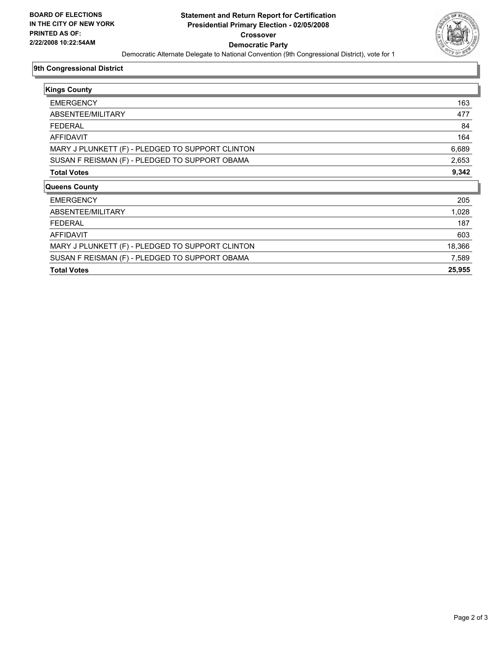

#### **9th Congressional District**

| <b>Kings County</b>                              |        |
|--------------------------------------------------|--------|
| <b>EMERGENCY</b>                                 | 163    |
| ABSENTEE/MILITARY                                | 477    |
| <b>FEDERAL</b>                                   | 84     |
| AFFIDAVIT                                        | 164    |
| MARY J PLUNKETT (F) - PLEDGED TO SUPPORT CLINTON | 6,689  |
| SUSAN F REISMAN (F) - PLEDGED TO SUPPORT OBAMA   | 2,653  |
| <b>Total Votes</b>                               | 9,342  |
| <b>Queens County</b>                             |        |
| <b>EMERGENCY</b>                                 | 205    |
| ABSENTEE/MILITARY                                | 1,028  |
| <b>FEDERAL</b>                                   | 187    |
| AFFIDAVIT                                        | 603    |
| MARY J PLUNKETT (F) - PLEDGED TO SUPPORT CLINTON | 18,366 |
| SUSAN F REISMAN (F) - PLEDGED TO SUPPORT OBAMA   | 7,589  |
| <b>Total Votes</b>                               | 25,955 |